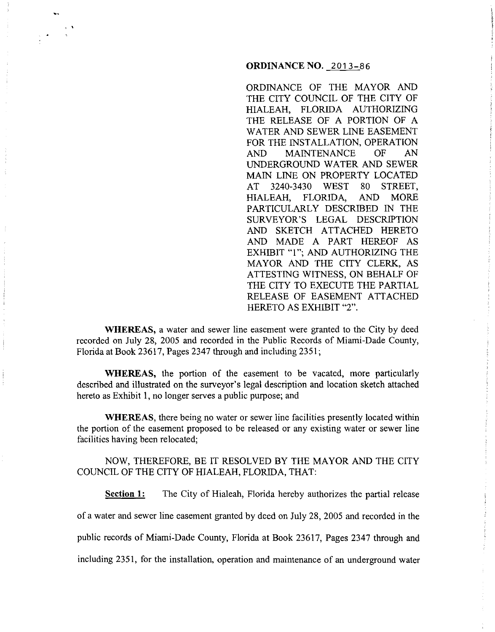## **ORDINANCE NO.** 2013-86

ORDINANCE OF THE MAYOR AND THE CITY COUNCIL OF THE CITY OF HIALEAH, FLORIDA AUTHORIZING THE RELEASE OF A PORTION OF A WATER AND SEWER LINE EASEMENT FOR THE INSTALLATION, OPERATION AND MAINTENANCE OF AN UNDERGROUND WATER AND SEWER MAIN LINE ON PROPERTY LOCATED AT 3240-3430 WEST 80 STREET, HIALEAH, FLORIDA, AND MORE PARTICULARLY DESCRIBED IN THE SURVEYOR'S LEGAL DESCRIPTION AND SKETCH ATTACHED HERETO AND MADE A PART HEREOF AS EXHIBIT "1"; AND AUTHORIZING THE MAYOR AND THE CITY CLERK, AS ATTESTING WITNESS, ON BEHALF OF THE CITY TO EXECUTE THE PARTIAL RELEASE OF EASEMENT ATTACHED HERETO AS EXHIBIT "2".

**WHEREAS,** a water and sewer line easement were granted to the City by deed recorded on July 28, 2005 and recorded in the Public Records of Miami-Dade County, Florida at Book 23617, Pages 2347 through and including 2351;

' '

**WHEREAS,** the portion of the easement to be vacated, more particularly described and illustrated on the surveyor's legal description and location sketch attached hereto as Exhibit I, no longer serves a public purpose; and

**WHEREAS,** there being no water or sewer line facilities presently located within the portion of the easement proposed to be released or any existing water or sewer line facilities having been relocated;

NOW, THEREFORE, BE IT RESOLVED BY THE MAYOR AND THE CITY COUNCIL OF THE CITY OF HIALEAH, FLORIDA, THAT:

**Section 1:** The City of Hialeah, Florida hereby authorizes the partial release

of a water and sewer line easement granted by deed on July 28, 2005 and recorded in the

public records of Miami-Dade County, Florida at Book 23617, Pages 2347 through and

including 2351, for the installation, operation and maintenance of an underground water